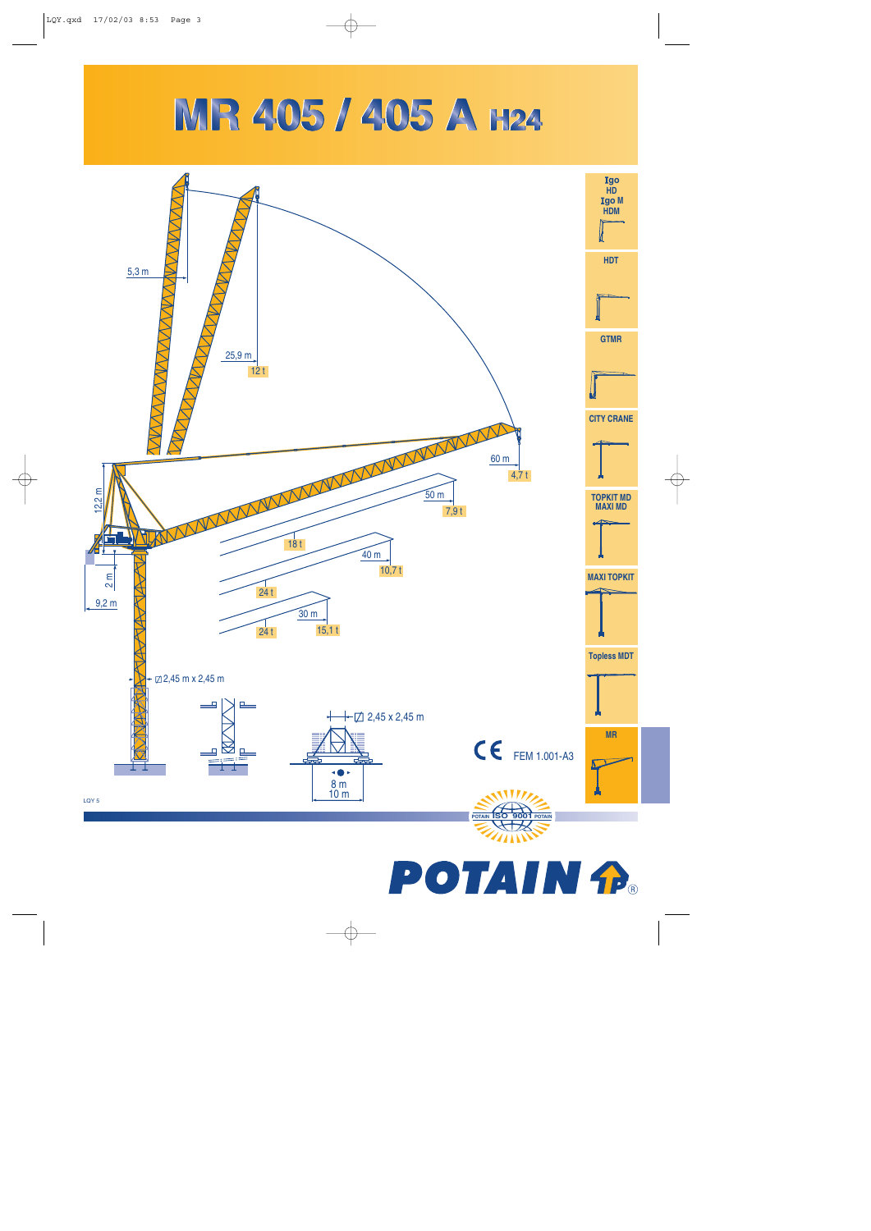## MR 405 / 405 A H24



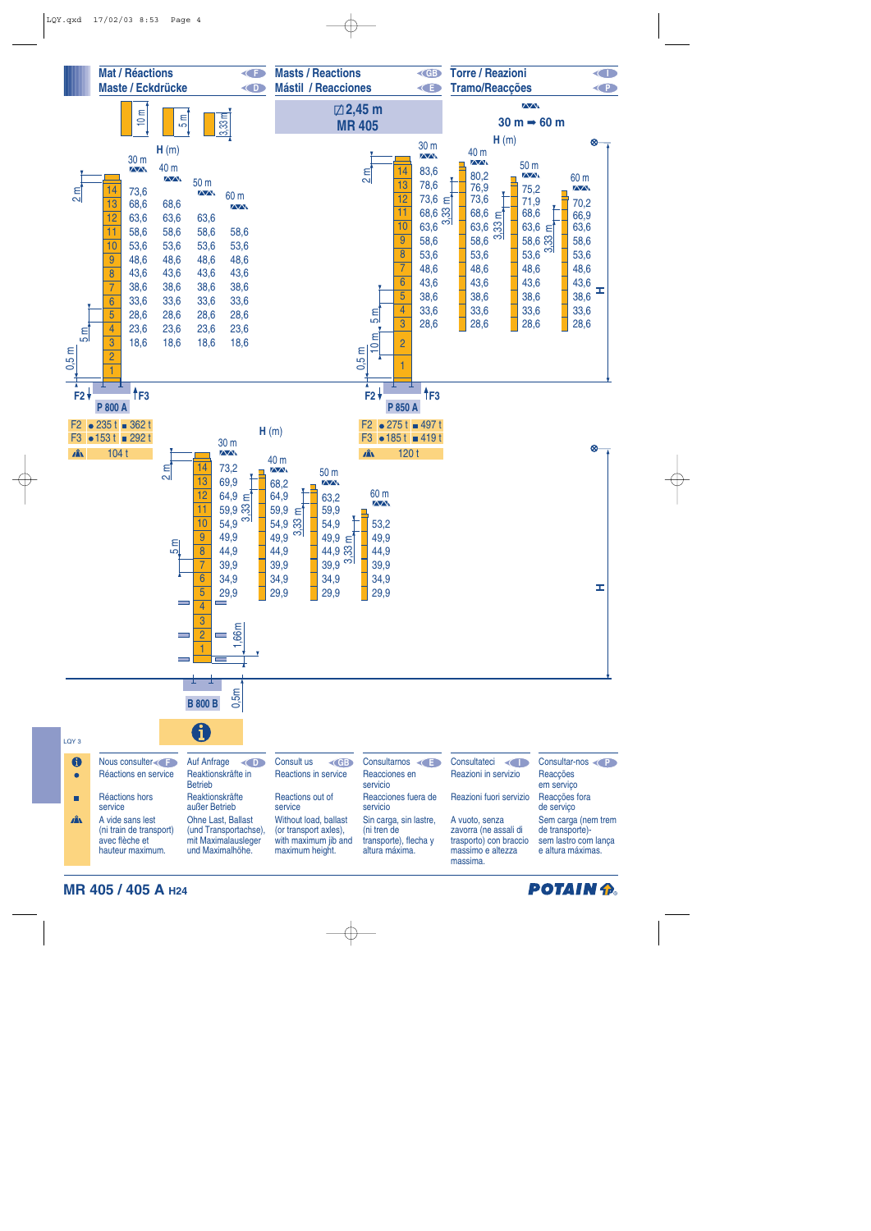

**MR 405 / 405 A H24**

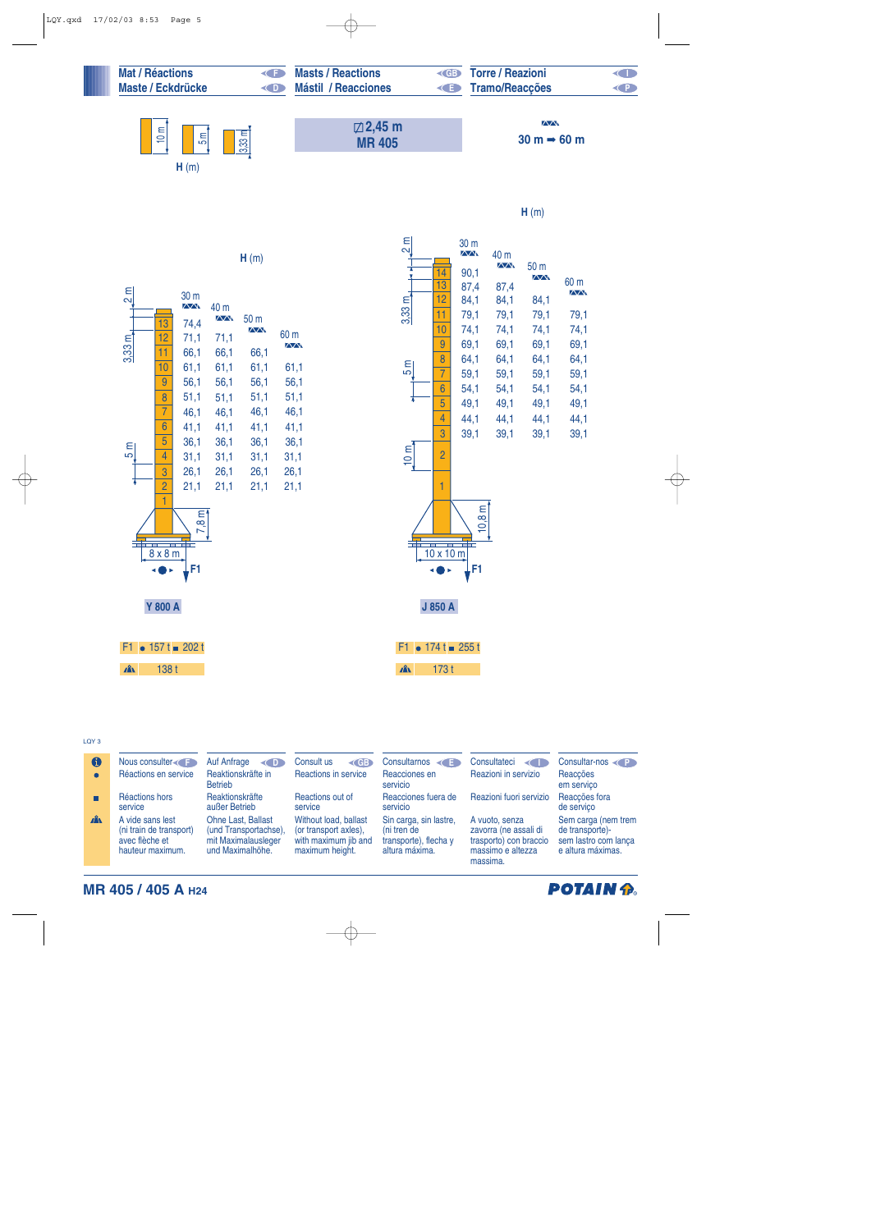| <b>Mat / Réactions</b><br><b>Maste / Eckdrücke</b> | <( D ) | <b>Masts / Reactions</b><br><b>Mástil / Reacciones</b> | $\triangleleft$ GB | <b>Torre / Reazioni</b><br>$\left( -\right)$<br><b>Tramo/Reacções</b> |  |  |
|----------------------------------------------------|--------|--------------------------------------------------------|--------------------|-----------------------------------------------------------------------|--|--|
| 10 m<br>$3,33$ m<br>Ξ,                             |        | $\boxtimes$ 2,45 m<br><b>MR405</b>                     |                    | $\sqrt{N}$<br>$30 m \rightarrow 60 m$                                 |  |  |
| H(m)                                               |        |                                                        |                    |                                                                       |  |  |

**H** (m)



**H** (m)

| E              |                | 30 m<br>$\overline{\wedge}$ | 40 m                |                     |                     |
|----------------|----------------|-----------------------------|---------------------|---------------------|---------------------|
|                | 14             | 90,1                        | $\overline{\wedge}$ | 50 <sub>m</sub>     |                     |
|                | 13             | 87,4                        | 87,4                | $\overline{\wedge}$ | 60 m                |
|                | 12             | 84,1                        | 84,1                | 84,1                | $\overline{\wedge}$ |
| E<br>3.33 ຕ    | 11             | 79,1                        | 79,1                | 79,1                | 79,1                |
|                | 10             | 74,1                        | 74,1                | 74,1                | 74,1                |
|                | 9              | 69,1                        | 69,1                | 69,1                | 69,1                |
|                | 8              | 64,1                        | 64,1                | 64,1                | 64,1                |
| 5 m            | $\overline{7}$ | 59,1                        | 59,1                | 59,1                | 59,1                |
|                | 6              | 54,1                        | 54,1                | 54,1                | 54,1                |
|                | 5              | 49,1                        | 49,1                | 49,1                | 49,1                |
|                | 4              | 44,1                        | 44,1                | 44,1                | 44,1                |
|                | 3              | 39,1                        | 39,1                | 39,1                | 39,1                |
|                | $\overline{2}$ |                             |                     |                     |                     |
|                | 1              |                             |                     |                     |                     |
|                |                |                             |                     |                     |                     |
|                | 10 x 10 m      | Eí                          |                     |                     |                     |
|                | J 850 A        |                             |                     |                     |                     |
| F <sub>1</sub> |                | $174t = 255t$               |                     |                     |                     |

173 t

 $\mathbf{A}$ 

## $L$  OY 3

| <b>LVI</b> U     |                                                                                   |                                                                                        |                                                                                           |                                                                                  |                                                                                                    |                                                                                     |
|------------------|-----------------------------------------------------------------------------------|----------------------------------------------------------------------------------------|-------------------------------------------------------------------------------------------|----------------------------------------------------------------------------------|----------------------------------------------------------------------------------------------------|-------------------------------------------------------------------------------------|
| $\mathbf \Theta$ | Nous consulter                                                                    | Auf Anfrage<br>$\left( 0 \right)$                                                      | Consult us<br>$\left($ GB                                                                 | Consultarnos $\left\langle \right\rangle$                                        | Consultateci<br><b>KOD</b>                                                                         | Consultar-nos                                                                       |
| $\bullet$        | Réactions en service                                                              | Reaktionskräfte in<br><b>Betrieb</b>                                                   | Reactions in service                                                                      | Reacciones en<br>servicio                                                        | Reazioni in servizio                                                                               | Reacções<br>em serviço                                                              |
|                  | Réactions hors<br>service                                                         | Reaktionskräfte<br>außer Betrieb                                                       | Reactions out of<br>service                                                               | Reacciones fuera de<br>servicio                                                  | Reazioni fuori servizio                                                                            | Reacções fora<br>de serviço                                                         |
| $\mathbf{A}$     | A vide sans lest<br>(ni train de transport)<br>avec flèche et<br>hauteur maximum. | Ohne Last, Ballast<br>(und Transportachse),<br>mit Maximalausleger<br>und Maximalhöhe. | Without load, ballast<br>(or transport axles),<br>with maximum jib and<br>maximum height. | Sin carga, sin lastre,<br>(ni tren de<br>transporte), flecha y<br>altura máxima. | A vuoto, senza<br>zavorra (ne assali di<br>trasporto) con braccio<br>massimo e altezza<br>massima. | Sem carga (nem trem<br>de transporte)-<br>sem lastro com lança<br>e altura máximas. |

**MR 405 / 405 A H24**

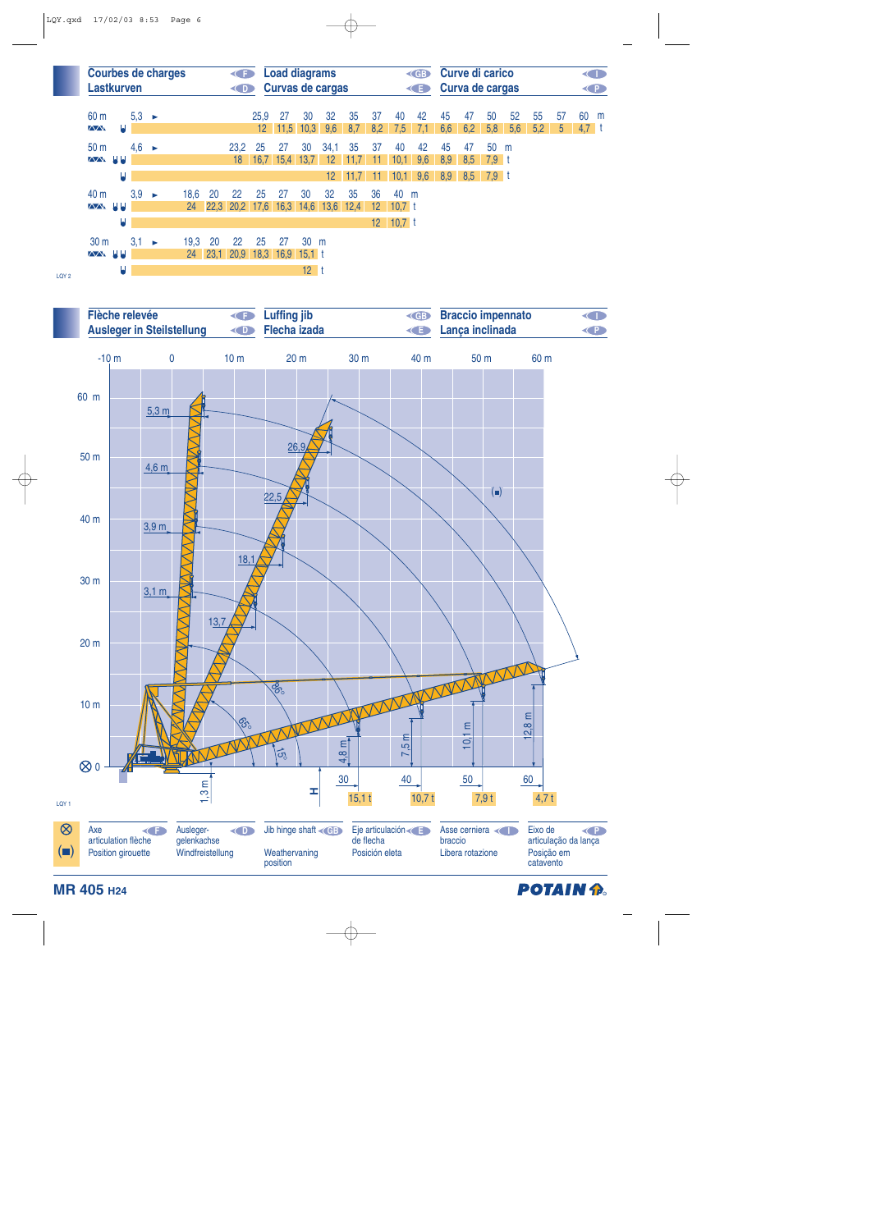

LQY 2



**POTAIN A**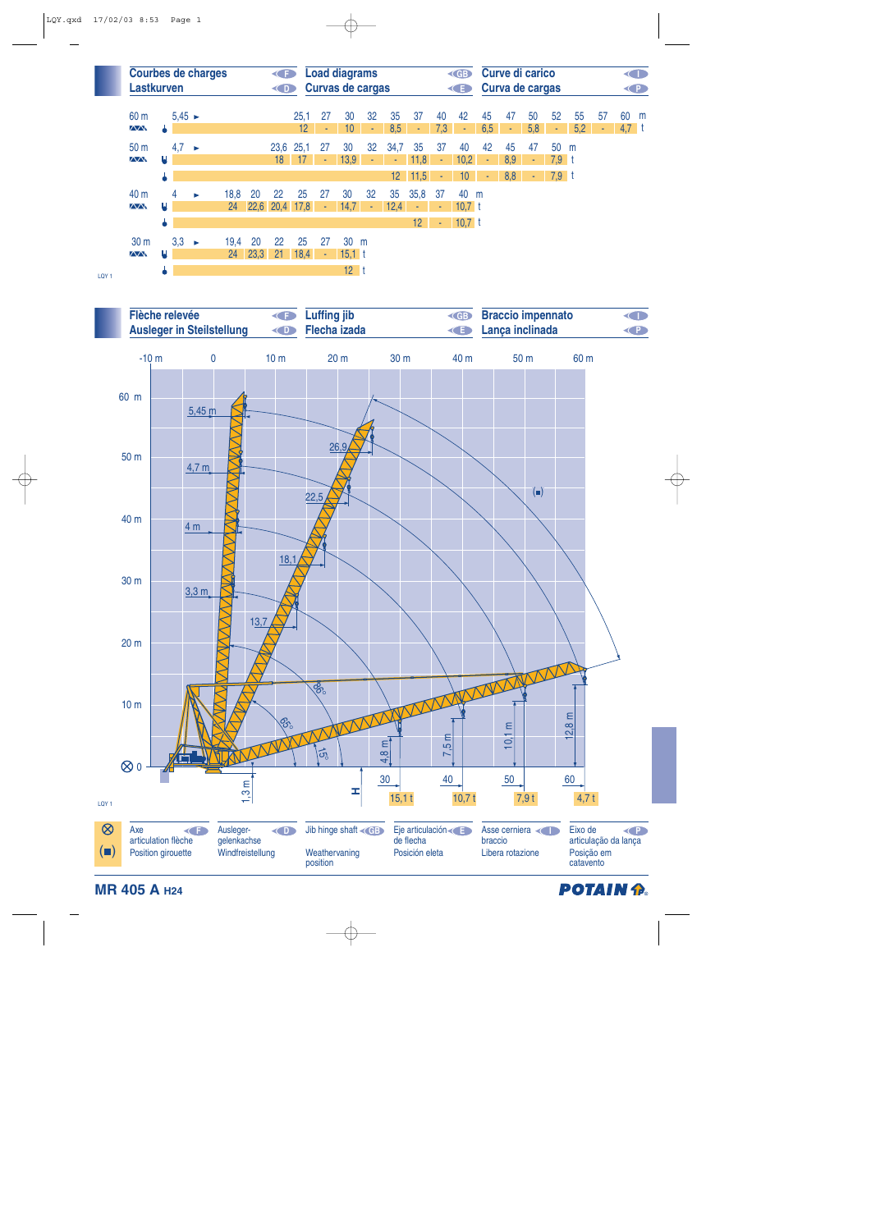



**MR 405 A H24**